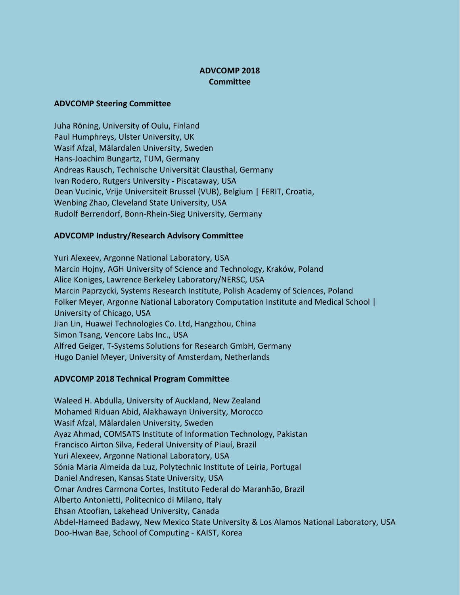## **ADVCOMP 2018 Committee**

## **ADVCOMP Steering Committee**

Juha Röning, University of Oulu, Finland Paul Humphreys, Ulster University, UK Wasif Afzal, Mälardalen University, Sweden Hans-Joachim Bungartz, TUM, Germany Andreas Rausch, Technische Universität Clausthal, Germany Ivan Rodero, Rutgers University - Piscataway, USA Dean Vucinic, Vrije Universiteit Brussel (VUB), Belgium | FERIT, Croatia, Wenbing Zhao, Cleveland State University, USA Rudolf Berrendorf, Bonn-Rhein-Sieg University, Germany

## **ADVCOMP Industry/Research Advisory Committee**

Yuri Alexeev, Argonne National Laboratory, USA Marcin Hojny, AGH University of Science and Technology, Kraków, Poland Alice Koniges, Lawrence Berkeley Laboratory/NERSC, USA Marcin Paprzycki, Systems Research Institute, Polish Academy of Sciences, Poland Folker Meyer, Argonne National Laboratory Computation Institute and Medical School | University of Chicago, USA Jian Lin, Huawei Technologies Co. Ltd, Hangzhou, China Simon Tsang, Vencore Labs Inc., USA Alfred Geiger, T-Systems Solutions for Research GmbH, Germany Hugo Daniel Meyer, University of Amsterdam, Netherlands

## **ADVCOMP 2018 Technical Program Committee**

Waleed H. Abdulla, University of Auckland, New Zealand Mohamed Riduan Abid, Alakhawayn University, Morocco Wasif Afzal, Mälardalen University, Sweden Ayaz Ahmad, COMSATS Institute of Information Technology, Pakistan Francisco Airton Silva, Federal University of Piauí, Brazil Yuri Alexeev, Argonne National Laboratory, USA Sónia Maria Almeida da Luz, Polytechnic Institute of Leiria, Portugal Daniel Andresen, Kansas State University, USA Omar Andres Carmona Cortes, Instituto Federal do Maranhão, Brazil Alberto Antonietti, Politecnico di Milano, Italy Ehsan Atoofian, Lakehead University, Canada Abdel-Hameed Badawy, New Mexico State University & Los Alamos National Laboratory, USA Doo-Hwan Bae, School of Computing - KAIST, Korea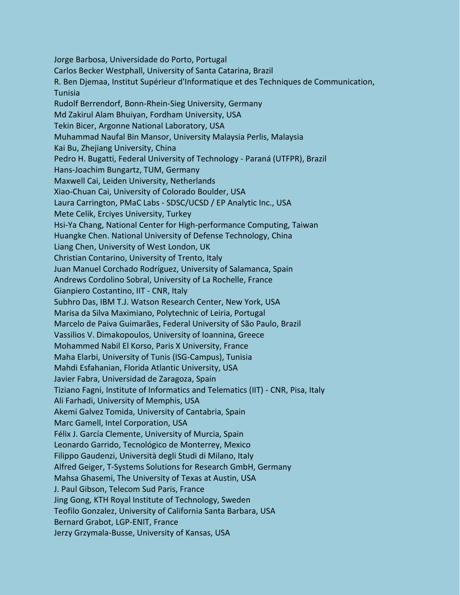Jorge Barbosa, Universidade do Porto, Portugal Carlos Becker Westphall, University of Santa Catarina, Brazil R. Ben Djemaa, Institut Supérieur d'Informatique et des Techniques de Communication, Tunisia Rudolf Berrendorf, Bonn-Rhein-Sieg University, Germany Md Zakirul Alam Bhuiyan, Fordham University, USA Tekin Bicer, Argonne National Laboratory, USA Muhammad Naufal Bin Mansor, University Malaysia Perlis, Malaysia Kai Bu, Zhejiang University, China Pedro H. Bugatti, Federal University of Technology - Paraná (UTFPR), Brazil Hans-Joachim Bungartz, TUM, Germany Maxwell Cai, Leiden University, Netherlands Xiao-Chuan Cai, University of Colorado Boulder, USA Laura Carrington, PMaC Labs - SDSC/UCSD / EP Analytic Inc., USA Mete Celik, Erciyes University, Turkey Hsi-Ya Chang, National Center for High-performance Computing, Taiwan Huangke Chen. National University of Defense Technology, China Liang Chen, University of West London, UK Christian Contarino, University of Trento, Italy Juan Manuel Corchado Rodríguez, University of Salamanca, Spain Andrews Cordolino Sobral, University of La Rochelle, France Gianpiero Costantino, IIT - CNR, Italy Subhro Das, IBM T.J. Watson Research Center, New York, USA Marisa da Silva Maximiano, Polytechnic of Leiria, Portugal Marcelo de Paiva Guimarães, Federal University of São Paulo, Brazil Vassilios V. Dimakopoulos, University of Ioannina, Greece Mohammed Nabil El Korso, Paris X University, France Maha Elarbi, University of Tunis (ISG-Campus), Tunisia Mahdi Esfahanian, Florida Atlantic University, USA Javier Fabra, Universidad de Zaragoza, Spain Tiziano Fagni, Institute of Informatics and Telematics (IIT) - CNR, Pisa, Italy Ali Farhadi, University of Memphis, USA Akemi Galvez Tomida, University of Cantabria, Spain Marc Gamell, Intel Corporation, USA Félix J. García Clemente, University of Murcia, Spain Leonardo Garrido, Tecnológico de Monterrey, Mexico Filippo Gaudenzi, Università degli Studi di Milano, Italy Alfred Geiger, T-Systems Solutions for Research GmbH, Germany Mahsa Ghasemi, The University of Texas at Austin, USA J. Paul Gibson, Telecom Sud Paris, France Jing Gong, KTH Royal Institute of Technology, Sweden Teofilo Gonzalez, University of California Santa Barbara, USA Bernard Grabot, LGP-ENIT, France Jerzy Grzymala-Busse, University of Kansas, USA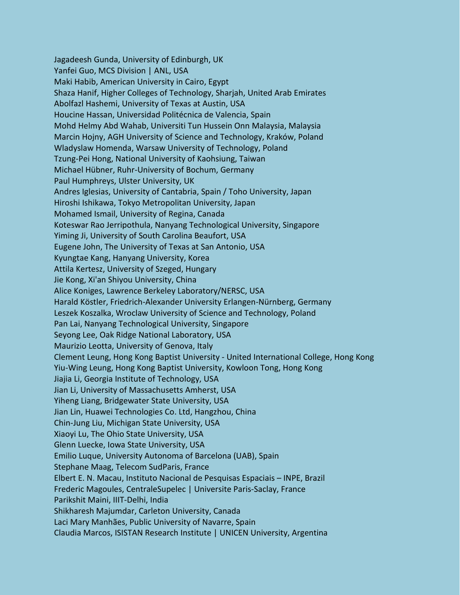Jagadeesh Gunda, University of Edinburgh, UK Yanfei Guo, MCS Division | ANL, USA Maki Habib, American University in Cairo, Egypt Shaza Hanif, Higher Colleges of Technology, Sharjah, United Arab Emirates Abolfazl Hashemi, University of Texas at Austin, USA Houcine Hassan, Universidad Politécnica de Valencia, Spain Mohd Helmy Abd Wahab, Universiti Tun Hussein Onn Malaysia, Malaysia Marcin Hojny, AGH University of Science and Technology, Kraków, Poland Wladyslaw Homenda, Warsaw University of Technology, Poland Tzung-Pei Hong, National University of Kaohsiung, Taiwan Michael Hübner, Ruhr-University of Bochum, Germany Paul Humphreys, Ulster University, UK Andres Iglesias, University of Cantabria, Spain / Toho University, Japan Hiroshi Ishikawa, Tokyo Metropolitan University, Japan Mohamed Ismail, University of Regina, Canada Koteswar Rao Jerripothula, Nanyang Technological University, Singapore Yiming Ji, University of South Carolina Beaufort, USA Eugene John, The University of Texas at San Antonio, USA Kyungtae Kang, Hanyang University, Korea Attila Kertesz, University of Szeged, Hungary Jie Kong, Xi'an Shiyou University, China Alice Koniges, Lawrence Berkeley Laboratory/NERSC, USA Harald Köstler, Friedrich-Alexander University Erlangen-Nürnberg, Germany Leszek Koszalka, Wroclaw University of Science and Technology, Poland Pan Lai, Nanyang Technological University, Singapore Seyong Lee, Oak Ridge National Laboratory, USA Maurizio Leotta, University of Genova, Italy Clement Leung, Hong Kong Baptist University - United International College, Hong Kong Yiu-Wing Leung, Hong Kong Baptist University, Kowloon Tong, Hong Kong Jiajia Li, Georgia Institute of Technology, USA Jian Li, University of Massachusetts Amherst, USA Yiheng Liang, Bridgewater State University, USA Jian Lin, Huawei Technologies Co. Ltd, Hangzhou, China Chin-Jung Liu, Michigan State University, USA Xiaoyi Lu, The Ohio State University, USA Glenn Luecke, Iowa State University, USA Emilio Luque, University Autonoma of Barcelona (UAB), Spain Stephane Maag, Telecom SudParis, France Elbert E. N. Macau, Instituto Nacional de Pesquisas Espaciais – INPE, Brazil Frederic Magoules, CentraleSupelec | Universite Paris-Saclay, France Parikshit Maini, IIIT-Delhi, India Shikharesh Majumdar, Carleton University, Canada Laci Mary Manhães, Public University of Navarre, Spain Claudia Marcos, ISISTAN Research Institute | UNICEN University, Argentina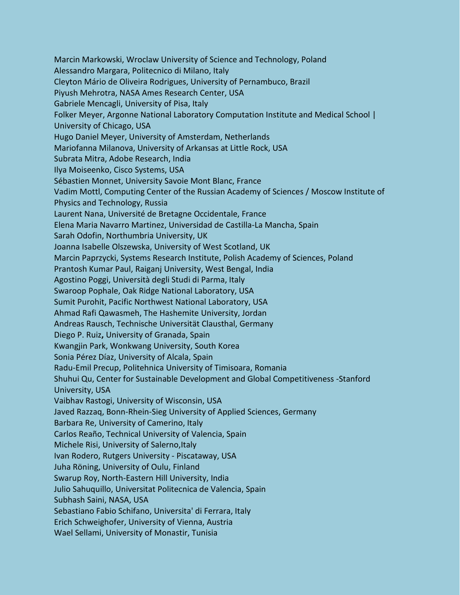Marcin Markowski, Wroclaw University of Science and Technology, Poland Alessandro Margara, Politecnico di Milano, Italy Cleyton Mário de Oliveira Rodrigues, University of Pernambuco, Brazil Piyush Mehrotra, NASA Ames Research Center, USA Gabriele Mencagli, University of Pisa, Italy Folker Meyer, Argonne National Laboratory Computation Institute and Medical School | University of Chicago, USA Hugo Daniel Meyer, University of Amsterdam, Netherlands Mariofanna Milanova, University of Arkansas at Little Rock, USA Subrata Mitra, Adobe Research, India Ilya Moiseenko, Cisco Systems, USA Sébastien Monnet, University Savoie Mont Blanc, France Vadim Mottl, Computing Center of the Russian Academy of Sciences / Moscow Institute of Physics and Technology, Russia Laurent Nana, Université de Bretagne Occidentale, France Elena Maria Navarro Martinez, Universidad de Castilla-La Mancha, Spain Sarah Odofin, Northumbria University, UK Joanna Isabelle Olszewska, University of West Scotland, UK Marcin Paprzycki, Systems Research Institute, Polish Academy of Sciences, Poland Prantosh Kumar Paul, Raiganj University, West Bengal, India Agostino Poggi, Università degli Studi di Parma, Italy Swaroop Pophale, Oak Ridge National Laboratory, USA Sumit Purohit, Pacific Northwest National Laboratory, USA Ahmad Rafi Qawasmeh, The Hashemite University, Jordan Andreas Rausch, Technische Universität Clausthal, Germany Diego P. Ruiz**,** University of Granada, Spain Kwangjin Park, Wonkwang University, South Korea Sonia Pérez Díaz, University of Alcala, Spain Radu-Emil Precup, Politehnica University of Timisoara, Romania Shuhui Qu, Center for Sustainable Development and Global Competitiveness -Stanford University, USA Vaibhav Rastogi, University of Wisconsin, USA Javed Razzaq, Bonn-Rhein-Sieg University of Applied Sciences, Germany Barbara Re, University of Camerino, Italy Carlos Reaño, Technical University of Valencia, Spain Michele Risi, University of Salerno, Italy Ivan Rodero, Rutgers University - Piscataway, USA Juha Röning, University of Oulu, Finland Swarup Roy, North-Eastern Hill University, India Julio Sahuquillo, Universitat Politecnica de Valencia, Spain Subhash Saini, NASA, USA Sebastiano Fabio Schifano, Universita' di Ferrara, Italy Erich Schweighofer, University of Vienna, Austria Wael Sellami, University of Monastir, Tunisia